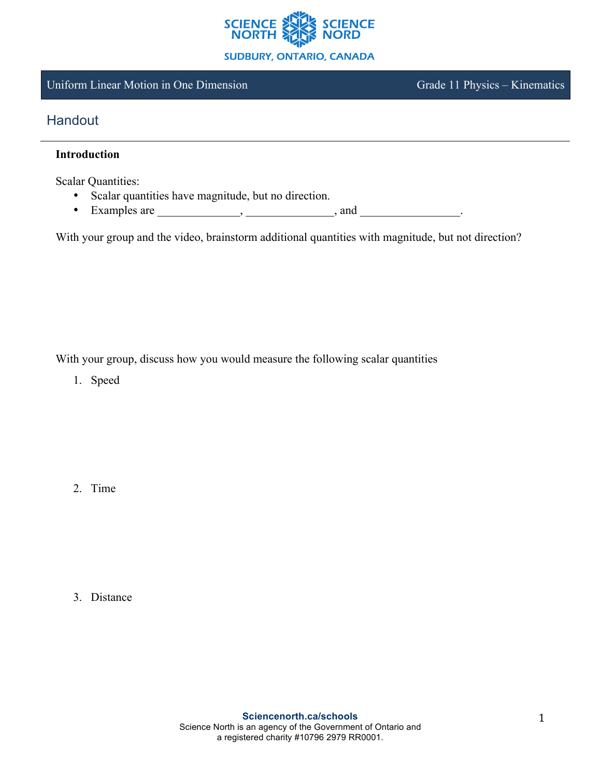

### Uniform Linear Motion in One Dimension Grade 11 Physics – Kinematics

# **Handout**

### **Introduction**

Scalar Quantities:

- Scalar quantities have magnitude, but no direction.
- Examples are  $\frac{1}{\sqrt{1-\frac{1}{2}}}\cdot\frac{1}{\sqrt{1-\frac{1}{2}}}\cdot\frac{1}{\sqrt{1-\frac{1}{2}}}\cdot\frac{1}{\sqrt{1-\frac{1}{2}}}\cdot\frac{1}{\sqrt{1-\frac{1}{2}}}\cdot\frac{1}{\sqrt{1-\frac{1}{2}}}\cdot\frac{1}{\sqrt{1-\frac{1}{2}}}\cdot\frac{1}{\sqrt{1-\frac{1}{2}}}\cdot\frac{1}{\sqrt{1-\frac{1}{2}}}\cdot\frac{1}{\sqrt{1-\frac{1}{2}}}\cdot\frac{1}{\sqrt{1-\frac{1}{2}}}\cdot\frac{1}{\sqrt$

With your group and the video, brainstorm additional quantities with magnitude, but not direction?

With your group, discuss how you would measure the following scalar quantities

1. Speed

2. Time

3. Distance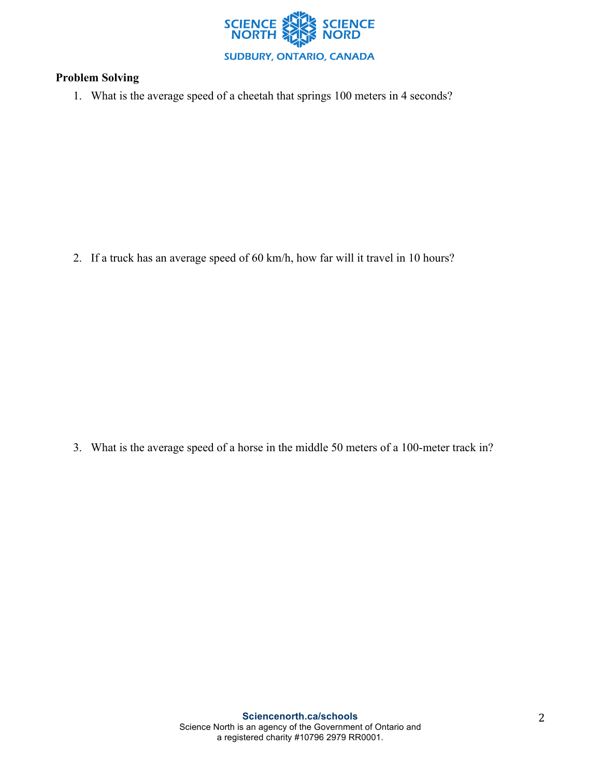

## **Problem Solving**

1. What is the average speed of a cheetah that springs 100 meters in 4 seconds?

2. If a truck has an average speed of 60 km/h, how far will it travel in 10 hours?

3. What is the average speed of a horse in the middle 50 meters of a 100-meter track in?